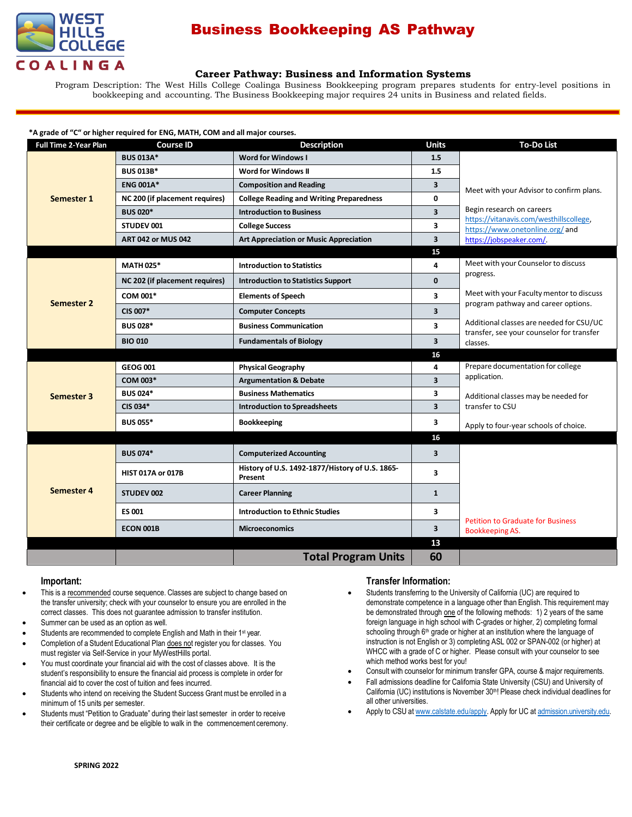

# Business Bookkeeping AS Pathway

## **Career Pathway: Business and Information Systems**

Program Description: The West Hills College Coalinga Business Bookkeeping program prepares students for entry-level positions in bookkeeping and accounting. The Business Bookkeeping major requires 24 units in Business and related fields.

#### **\*A grade of "C" or higher required for ENG, MATH, COM and all major courses.**

| <b>Full Time 2-Year Plan</b> | <b>Course ID</b>               | <b>Description</b>                                         | <b>Units</b>            | <b>To-Do List</b>                                                                                                                                                                                                                        |
|------------------------------|--------------------------------|------------------------------------------------------------|-------------------------|------------------------------------------------------------------------------------------------------------------------------------------------------------------------------------------------------------------------------------------|
| Semester 1                   | <b>BUS 013A*</b>               | <b>Word for Windows I</b>                                  | 1.5                     |                                                                                                                                                                                                                                          |
|                              | <b>BUS 013B*</b>               | Word for Windows II                                        | 1.5                     |                                                                                                                                                                                                                                          |
|                              | <b>ENG 001A*</b>               | <b>Composition and Reading</b>                             | 3                       | Meet with your Advisor to confirm plans.<br>Begin research on careers<br>https://vitanavis.com/westhillscollege,<br>https://www.onetonline.org/and<br>https://jobspeaker.com/.                                                           |
|                              | NC 200 (if placement requires) | <b>College Reading and Writing Preparedness</b>            | 0                       |                                                                                                                                                                                                                                          |
|                              | <b>BUS 020*</b>                | <b>Introduction to Business</b>                            | $\overline{\mathbf{3}}$ |                                                                                                                                                                                                                                          |
|                              | STUDEV 001                     | <b>College Success</b>                                     | 3                       |                                                                                                                                                                                                                                          |
|                              | <b>ART 042 or MUS 042</b>      | <b>Art Appreciation or Music Appreciation</b>              | 3                       |                                                                                                                                                                                                                                          |
|                              |                                |                                                            | 15                      |                                                                                                                                                                                                                                          |
| <b>Semester 2</b>            | <b>MATH 025*</b>               | <b>Introduction to Statistics</b>                          | 4                       | Meet with your Counselor to discuss<br>progress.<br>Meet with your Faculty mentor to discuss<br>program pathway and career options.<br>Additional classes are needed for CSU/UC<br>transfer, see your counselor for transfer<br>classes. |
|                              | NC 202 (if placement requires) | <b>Introduction to Statistics Support</b>                  | $\Omega$                |                                                                                                                                                                                                                                          |
|                              | COM 001*                       | <b>Elements of Speech</b>                                  | 3                       |                                                                                                                                                                                                                                          |
|                              | CIS 007*                       | <b>Computer Concepts</b>                                   | 3                       |                                                                                                                                                                                                                                          |
|                              | <b>BUS 028*</b>                | <b>Business Communication</b>                              | $\overline{\mathbf{3}}$ |                                                                                                                                                                                                                                          |
|                              | <b>BIO 010</b>                 | <b>Fundamentals of Biology</b>                             | $\overline{\mathbf{3}}$ |                                                                                                                                                                                                                                          |
|                              |                                |                                                            | 16                      |                                                                                                                                                                                                                                          |
|                              | <b>GEOG 001</b>                | <b>Physical Geography</b>                                  | 4                       | Prepare documentation for college<br>application.<br>Additional classes may be needed for<br>transfer to CSU                                                                                                                             |
| Semester 3                   | <b>COM 003*</b>                | <b>Argumentation &amp; Debate</b>                          | $\overline{\mathbf{3}}$ |                                                                                                                                                                                                                                          |
|                              | <b>BUS 024*</b>                | <b>Business Mathematics</b>                                | 3                       |                                                                                                                                                                                                                                          |
|                              | CIS 034*                       | <b>Introduction to Spreadsheets</b>                        | 3                       |                                                                                                                                                                                                                                          |
|                              | <b>BUS 055*</b>                | <b>Bookkeeping</b>                                         | 3                       | Apply to four-year schools of choice.                                                                                                                                                                                                    |
|                              |                                |                                                            | 16                      |                                                                                                                                                                                                                                          |
| <b>Semester 4</b>            | <b>BUS 074*</b>                | <b>Computerized Accounting</b>                             | $\overline{\mathbf{3}}$ |                                                                                                                                                                                                                                          |
|                              | <b>HIST 017A or 017B</b>       | History of U.S. 1492-1877/History of U.S. 1865-<br>Present | 3                       |                                                                                                                                                                                                                                          |
|                              | STUDEV 002                     | <b>Career Planning</b>                                     | $\mathbf{1}$            |                                                                                                                                                                                                                                          |
|                              | <b>ES 001</b>                  | <b>Introduction to Ethnic Studies</b>                      | 3                       |                                                                                                                                                                                                                                          |
|                              | <b>ECON 001B</b>               | <b>Microeconomics</b>                                      | 3                       | <b>Petition to Graduate for Business</b><br>Bookkeeping AS.                                                                                                                                                                              |
|                              |                                |                                                            | 13                      |                                                                                                                                                                                                                                          |
|                              |                                | <b>Total Program Units</b>                                 | 60                      |                                                                                                                                                                                                                                          |

#### **Important:**

- This is a recommended course sequence. Classes are subject to change based on the transfer university; check with your counselor to ensure you are enrolled in the correct classes. This does not guarantee admission to transfer institution.
- Summer can be used as an option as well.
- Students are recommended to complete English and Math in their 1<sup>st</sup> year.
- Completion of a Student Educational Plan does not register you for classes. You must register via Self-Service in your MyWestHills portal.
- You must coordinate your financial aid with the cost of classes above. It is the student's responsibility to ensure the financial aid process is complete in order for financial aid to cover the cost of tuition and fees incurred.
- Students who intend on receiving the Student Success Grant must be enrolled in a minimum of 15 units per semester.
- Students must "Petition to Graduate" during their last semester in order to receive their certificate or degree and be eligible to walk in the commencement ceremony.

### **Transfer Information:**

- Students transferring to the University of California (UC) are required to demonstrate competence in a language other than English. This requirement may be demonstrated through one of the following methods: 1) 2 years of the same foreign language in high school with C-grades or higher, 2) completing formal schooling through 6<sup>th</sup> grade or higher at an institution where the language of instruction is not English or 3) completing ASL 002 or SPAN-002 (or higher) at WHCC with a grade of C or higher. Please consult with your counselor to see which method works best for you!
- Consult with counselor for minimum transfer GPA, course & major requirements.
- Fall admissions deadline for California State University (CSU) and University of California (UC) institutions is November 30<sup>th!</sup> Please check individual deadlines for all other universities.
- Apply to CSU at [www.calstate.edu/apply.](http://www.calstate.edu/apply) Apply for UC at [admission.university.edu.](http://www.apply.universityofcalifornia.edu/)